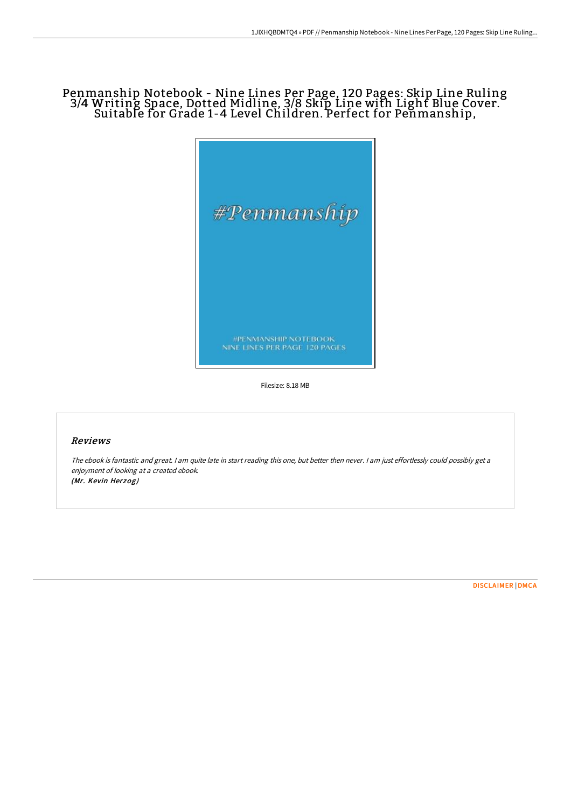## Penmanship Notebook - Nine Lines Per Page, 120 Pages: Skip Line Ruling 3/4 Writing Space, Dotted Midline, 3/8 Skip Line with Light Blue Cover. Suitable for Grade 1-4 Level Children. Perfect for Penmanship,



Filesize: 8.18 MB

## Reviews

The ebook is fantastic and great. <sup>I</sup> am quite late in start reading this one, but better then never. <sup>I</sup> am just effortlessly could possibly get <sup>a</sup> enjoyment of looking at <sup>a</sup> created ebook. (Mr. Kevin Herzog)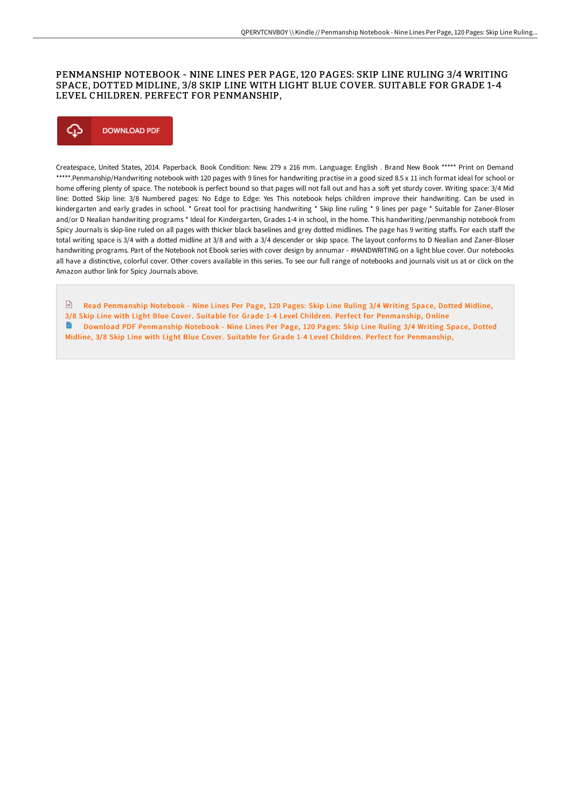#### PENMANSHIP NOTEBOOK - NINE LINES PER PAGE, 120 PAGES: SKIP LINE RULING 3/4 WRITING SPACE, DOTTED MIDLINE, 3/8 SKIP LINE WITH LIGHT BLUE COVER. SUITABLE FOR GRADE 1-4 LEVEL CHILDREN. PERFECT FOR PENMANSHIP,

# Φ **DOWNLOAD PDF**

Createspace, United States, 2014. Paperback. Book Condition: New. 279 x 216 mm. Language: English . Brand New Book \*\*\*\*\* Print on Demand \*\*\*\*\*.Penmanship/Handwriting notebook with 120 pages with 9 lines for handwriting practise in a good sized 8.5 x 11 inch format ideal for school or home offering plenty of space. The notebook is perfect bound so that pages will not fall out and has a soft yet sturdy cover. Writing space: 3/4 Mid line: Dotted Skip line: 3/8 Numbered pages: No Edge to Edge: Yes This notebook helps children improve their handwriting. Can be used in kindergarten and early grades in school. \* Great tool for practising handwriting \* Skip line ruling \* 9 lines per page \* Suitable for Zaner-Bloser and/or D Nealian handwriting programs \* Ideal for Kindergarten, Grades 1-4 in school, in the home. This handwriting/penmanship notebook from Spicy Journals is skip-line ruled on all pages with thicker black baselines and grey dotted midlines. The page has 9 writing staffs. For each staff the total writing space is 3/4 with a dotted midline at 3/8 and with a 3/4 descender or skip space. The layout conforms to D Nealian and Zaner-Bloser handwriting programs. Part of the Notebook not Ebook series with cover design by annumar - #HANDWRITING on a light blue cover. Our notebooks all have a distinctive, colorful cover. Other covers available in this series. To see our full range of notebooks and journals visit us at or click on the Amazon author link for Spicy Journals above.

Read Penmanship Notebook - Nine Lines Per Page, 120 Pages: Skip Line Ruling 3/4 Writing Space, Dotted Midline, 3/8 Skip Line with Light Blue Cover. Suitable for Grade 1-4 Level Children. Perfect for [Penmanship,](http://techno-pub.tech/penmanship-notebook-nine-lines-per-page-120-page-3.html) Online Download PDF Penmanship Notebook - Nine Lines Per Page, 120 Pages: Skip Line Ruling 3/4 Writing Space, Dotted Midline, 3/8 Skip Line with Light Blue Cover. Suitable for Grade 1-4 Level Children. Perfect for [Penmanship,](http://techno-pub.tech/penmanship-notebook-nine-lines-per-page-120-page-3.html)